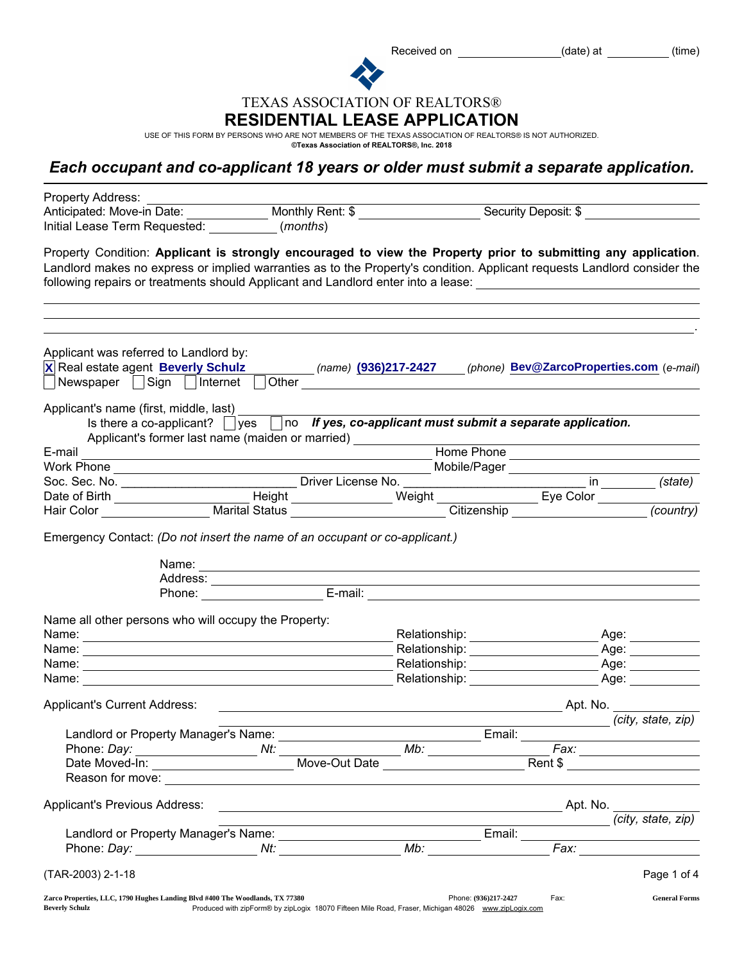Received on (date) at (time)

TEXAS ASSOCIATION OF REALTORS®

## RESIDENTIAL LEASE APPLICATION

USE OF THIS FORM BY PERSONS WHO ARE NOT MEMBERS OF THE TEXAS ASSOCIATION OF REALTORS® IS NOT AUTHORIZED. ©Texas Association of REALTORS®, Inc. 2018

## *Each occupant and co-applicant 18 years or older must submit a separate application.*

| Property Address:                                                                                                                                                                                                                                                                                                                                            |                                                                                                                      |                                                                                                                                                                                                                                                                                                                                                                                                                                                                   |      |                                                                                                                                                                                                                               |
|--------------------------------------------------------------------------------------------------------------------------------------------------------------------------------------------------------------------------------------------------------------------------------------------------------------------------------------------------------------|----------------------------------------------------------------------------------------------------------------------|-------------------------------------------------------------------------------------------------------------------------------------------------------------------------------------------------------------------------------------------------------------------------------------------------------------------------------------------------------------------------------------------------------------------------------------------------------------------|------|-------------------------------------------------------------------------------------------------------------------------------------------------------------------------------------------------------------------------------|
| Anticipated: Move-in Date: Monthly Rent: \$<br>Initial Lease Term Requested: (months)                                                                                                                                                                                                                                                                        |                                                                                                                      |                                                                                                                                                                                                                                                                                                                                                                                                                                                                   |      | Security Deposit: \$                                                                                                                                                                                                          |
| Property Condition: Applicant is strongly encouraged to view the Property prior to submitting any application.<br>Landlord makes no express or implied warranties as to the Property's condition. Applicant requests Landlord consider the<br>following repairs or treatments should Applicant and Landlord enter into a lease: 1988 1998 1999 1999 1999 199 |                                                                                                                      |                                                                                                                                                                                                                                                                                                                                                                                                                                                                   |      |                                                                                                                                                                                                                               |
| Applicant was referred to Landlord by:<br>X Real estate agent <b>Beverly Schulz</b> (name) (936)217-2427 (phone) Bev@ZarcoProperties.com (e-mail)<br>Newspaper   Sign   Internet                                                                                                                                                                             |                                                                                                                      |                                                                                                                                                                                                                                                                                                                                                                                                                                                                   |      |                                                                                                                                                                                                                               |
| Applicant's name (first, middle, last)<br>Is there a co-applicant? $\Box$ yes $\Box$ no If yes, co-applicant must submit a separate application.                                                                                                                                                                                                             |                                                                                                                      |                                                                                                                                                                                                                                                                                                                                                                                                                                                                   |      |                                                                                                                                                                                                                               |
| Applicant's former last name (maiden or married) ___________<br>E-mail                                                                                                                                                                                                                                                                                       |                                                                                                                      |                                                                                                                                                                                                                                                                                                                                                                                                                                                                   |      |                                                                                                                                                                                                                               |
|                                                                                                                                                                                                                                                                                                                                                              | <u> 1989 - Johann Stein, marwolaethau a bhann an t-Amhair an t-Amhair an t-Amhair an t-Amhair an t-Amhair an t-A</u> |                                                                                                                                                                                                                                                                                                                                                                                                                                                                   |      |                                                                                                                                                                                                                               |
|                                                                                                                                                                                                                                                                                                                                                              |                                                                                                                      |                                                                                                                                                                                                                                                                                                                                                                                                                                                                   |      |                                                                                                                                                                                                                               |
|                                                                                                                                                                                                                                                                                                                                                              |                                                                                                                      |                                                                                                                                                                                                                                                                                                                                                                                                                                                                   |      |                                                                                                                                                                                                                               |
|                                                                                                                                                                                                                                                                                                                                                              |                                                                                                                      |                                                                                                                                                                                                                                                                                                                                                                                                                                                                   |      |                                                                                                                                                                                                                               |
|                                                                                                                                                                                                                                                                                                                                                              |                                                                                                                      | Name: Name: Name: Name: Name: Name: Name: Name: Name: Name: Name: Name: Name: Name: Name: Name: Name: Name: Name: Name: Name: Name: Name: Name: Name: Name: Name: Name: Name: Name: Name: Name: Name: Name: Name: Name: Name:<br>Address:<br>Phone: E-mail: E-mail: E-mail: E-mail: E-mail: E-mail: E-mail: E-mail: E-mail: E-mail: E-mail: E-mail: E-mail: E-mail: E-mail: E-mail: E-mail: E-mail: E-mail: E-mail: E-mail: E-mail: E-mail: E-mail: E-mail: E-mai |      |                                                                                                                                                                                                                               |
| Name all other persons who will occupy the Property:                                                                                                                                                                                                                                                                                                         |                                                                                                                      |                                                                                                                                                                                                                                                                                                                                                                                                                                                                   |      |                                                                                                                                                                                                                               |
|                                                                                                                                                                                                                                                                                                                                                              |                                                                                                                      | Relationship: __________________                                                                                                                                                                                                                                                                                                                                                                                                                                  |      | _ Age: ___________                                                                                                                                                                                                            |
|                                                                                                                                                                                                                                                                                                                                                              |                                                                                                                      |                                                                                                                                                                                                                                                                                                                                                                                                                                                                   |      | Age: ___________                                                                                                                                                                                                              |
|                                                                                                                                                                                                                                                                                                                                                              |                                                                                                                      | Relationship: ____________________                                                                                                                                                                                                                                                                                                                                                                                                                                |      | $\mathsf{Age:}\_\_\_\_\_\_\_\_\_\$                                                                                                                                                                                            |
| Name:<br><u> 1989 - Johann Stein, mars an de Frankrik en de Frankrik en de Frankrik en de Frankrik en de Frankrik en de F</u>                                                                                                                                                                                                                                |                                                                                                                      | Relationship: example and the set of the set of the set of the set of the set of the set of the set of the set of the set of the set of the set of the set of the set of the set of the set of the set of the set of the set o                                                                                                                                                                                                                                    |      | Age: and the set of the set of the set of the set of the set of the set of the set of the set of the set of the set of the set of the set of the set of the set of the set of the set of the set of the set of the set of the |
| <b>Applicant's Current Address:</b>                                                                                                                                                                                                                                                                                                                          |                                                                                                                      |                                                                                                                                                                                                                                                                                                                                                                                                                                                                   |      | Apt. No.                                                                                                                                                                                                                      |
|                                                                                                                                                                                                                                                                                                                                                              |                                                                                                                      |                                                                                                                                                                                                                                                                                                                                                                                                                                                                   |      | (city, state, zip)                                                                                                                                                                                                            |
| Landlord or Property Manager's Name:                                                                                                                                                                                                                                                                                                                         |                                                                                                                      | Email:                                                                                                                                                                                                                                                                                                                                                                                                                                                            |      |                                                                                                                                                                                                                               |
|                                                                                                                                                                                                                                                                                                                                                              |                                                                                                                      | Mb:                                                                                                                                                                                                                                                                                                                                                                                                                                                               |      | Fax: ____________________                                                                                                                                                                                                     |
| Date Moved-In: __________________________________Move-Out Date _________________                                                                                                                                                                                                                                                                             |                                                                                                                      |                                                                                                                                                                                                                                                                                                                                                                                                                                                                   |      | Rent \$                                                                                                                                                                                                                       |
|                                                                                                                                                                                                                                                                                                                                                              |                                                                                                                      |                                                                                                                                                                                                                                                                                                                                                                                                                                                                   |      |                                                                                                                                                                                                                               |
| Applicant's Previous Address:                                                                                                                                                                                                                                                                                                                                |                                                                                                                      |                                                                                                                                                                                                                                                                                                                                                                                                                                                                   |      |                                                                                                                                                                                                                               |
|                                                                                                                                                                                                                                                                                                                                                              |                                                                                                                      | <u> 1989 - Johann Barn, mars ann an t-Amhain Aonaichte ann an t-Aonaichte ann an t-Aonaichte ann an t-Aonaichte a</u>                                                                                                                                                                                                                                                                                                                                             |      | (city, state, zip)                                                                                                                                                                                                            |
|                                                                                                                                                                                                                                                                                                                                                              |                                                                                                                      |                                                                                                                                                                                                                                                                                                                                                                                                                                                                   |      |                                                                                                                                                                                                                               |
| (TAR-2003) 2-1-18                                                                                                                                                                                                                                                                                                                                            |                                                                                                                      |                                                                                                                                                                                                                                                                                                                                                                                                                                                                   |      | Page 1 of 4                                                                                                                                                                                                                   |
| Zarco Properties, LLC, 1790 Hughes Landing Blvd #400 The Woodlands, TX 77380<br><b>Beverly Schulz</b>                                                                                                                                                                                                                                                        |                                                                                                                      | Phone: (936)217-2427<br>Produced with zipForm® by zipLogix 18070 Fifteen Mile Road, Fraser, Michigan 48026 www.zipLogix.com                                                                                                                                                                                                                                                                                                                                       | Fax: | <b>General Forms</b>                                                                                                                                                                                                          |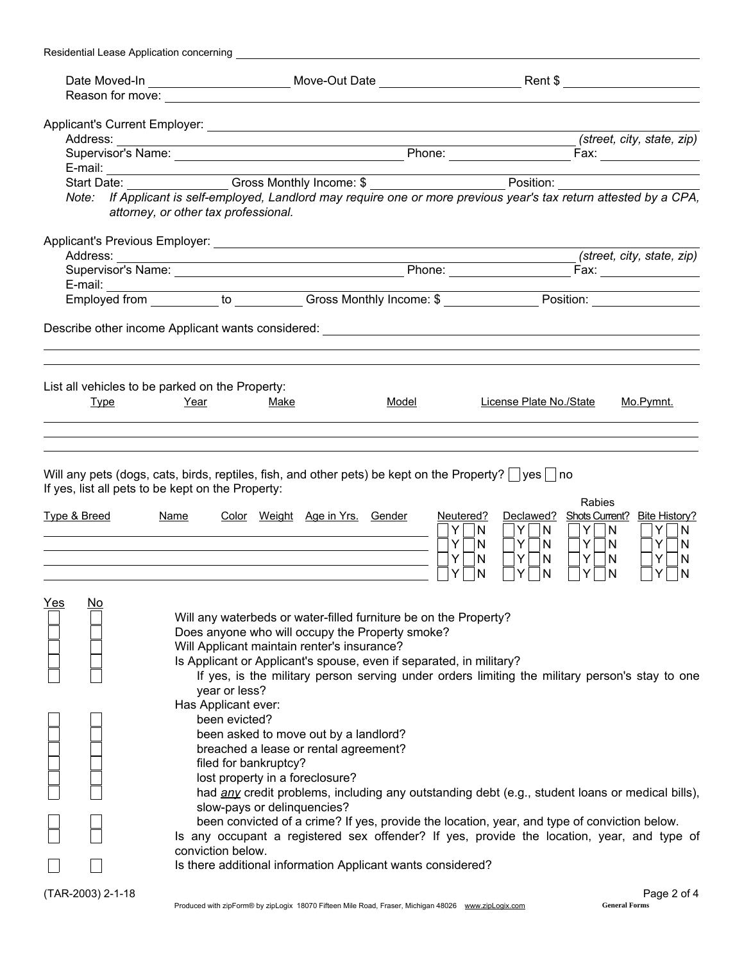| Residential Lease Application concerning |                                                                                                                                                                                                                                                                                                                                                                                                                                                                                                                                                                                                        |       |                                                                                                                                                                                              |                                                                                               |
|------------------------------------------|--------------------------------------------------------------------------------------------------------------------------------------------------------------------------------------------------------------------------------------------------------------------------------------------------------------------------------------------------------------------------------------------------------------------------------------------------------------------------------------------------------------------------------------------------------------------------------------------------------|-------|----------------------------------------------------------------------------------------------------------------------------------------------------------------------------------------------|-----------------------------------------------------------------------------------------------|
|                                          |                                                                                                                                                                                                                                                                                                                                                                                                                                                                                                                                                                                                        |       |                                                                                                                                                                                              |                                                                                               |
|                                          |                                                                                                                                                                                                                                                                                                                                                                                                                                                                                                                                                                                                        |       |                                                                                                                                                                                              |                                                                                               |
|                                          |                                                                                                                                                                                                                                                                                                                                                                                                                                                                                                                                                                                                        |       |                                                                                                                                                                                              |                                                                                               |
|                                          |                                                                                                                                                                                                                                                                                                                                                                                                                                                                                                                                                                                                        |       |                                                                                                                                                                                              | (street, city, state, zip)                                                                    |
|                                          |                                                                                                                                                                                                                                                                                                                                                                                                                                                                                                                                                                                                        |       |                                                                                                                                                                                              |                                                                                               |
|                                          |                                                                                                                                                                                                                                                                                                                                                                                                                                                                                                                                                                                                        |       |                                                                                                                                                                                              |                                                                                               |
|                                          | E-mail: Start Date: Cross Monthly Income: \$                                                                                                                                                                                                                                                                                                                                                                                                                                                                                                                                                           |       |                                                                                                                                                                                              |                                                                                               |
|                                          | Note: If Applicant is self-employed, Landlord may require one or more previous year's tax return attested by a CPA,<br>attorney, or other tax professional.                                                                                                                                                                                                                                                                                                                                                                                                                                            |       |                                                                                                                                                                                              |                                                                                               |
|                                          |                                                                                                                                                                                                                                                                                                                                                                                                                                                                                                                                                                                                        |       |                                                                                                                                                                                              |                                                                                               |
|                                          |                                                                                                                                                                                                                                                                                                                                                                                                                                                                                                                                                                                                        |       |                                                                                                                                                                                              | (street, city, state, zip)                                                                    |
|                                          |                                                                                                                                                                                                                                                                                                                                                                                                                                                                                                                                                                                                        |       |                                                                                                                                                                                              |                                                                                               |
|                                          |                                                                                                                                                                                                                                                                                                                                                                                                                                                                                                                                                                                                        |       |                                                                                                                                                                                              |                                                                                               |
|                                          |                                                                                                                                                                                                                                                                                                                                                                                                                                                                                                                                                                                                        |       |                                                                                                                                                                                              |                                                                                               |
|                                          |                                                                                                                                                                                                                                                                                                                                                                                                                                                                                                                                                                                                        |       |                                                                                                                                                                                              |                                                                                               |
|                                          | List all vehicles to be parked on the Property:                                                                                                                                                                                                                                                                                                                                                                                                                                                                                                                                                        |       |                                                                                                                                                                                              |                                                                                               |
| <b>Type</b>                              | Year<br>Make                                                                                                                                                                                                                                                                                                                                                                                                                                                                                                                                                                                           | Model | License Plate No./State                                                                                                                                                                      | Mo.Pymnt.                                                                                     |
|                                          |                                                                                                                                                                                                                                                                                                                                                                                                                                                                                                                                                                                                        |       |                                                                                                                                                                                              |                                                                                               |
|                                          |                                                                                                                                                                                                                                                                                                                                                                                                                                                                                                                                                                                                        |       |                                                                                                                                                                                              |                                                                                               |
| <u>Type &amp; Breed</u>                  | Will any pets (dogs, cats, birds, reptiles, fish, and other pets) be kept on the Property? $ $ yes $ $ no<br>If yes, list all pets to be kept on the Property:<br><b>Name</b><br>Color Weight Age in Yrs. Gender                                                                                                                                                                                                                                                                                                                                                                                       |       | <b>Rabies</b><br>Neutered?<br>Declawed?<br>$Y$ $ N$<br>Y.<br> N <br>Y N<br>Y.<br>$Y\Box N$<br> N <br>$Y \cap N$<br>Y<br>$Y \Box N$<br>N<br>$\overline{\phantom{0}}$<br>Y<br>Y<br>N<br>N<br>Y | Shots Current? Bite History?<br>$Y$ $ N$<br>$Y \Box N$<br>$Y \Box N$<br>Y<br>N<br>N<br>Y<br>N |
| <u>Yes</u><br><u>No</u>                  | Will any waterbeds or water-filled furniture be on the Property?<br>Does anyone who will occupy the Property smoke?<br>Will Applicant maintain renter's insurance?<br>Is Applicant or Applicant's spouse, even if separated, in military?<br>If yes, is the military person serving under orders limiting the military person's stay to one<br>year or less?                                                                                                                                                                                                                                           |       |                                                                                                                                                                                              |                                                                                               |
|                                          | Has Applicant ever:<br>been evicted?<br>been asked to move out by a landlord?<br>breached a lease or rental agreement?<br>filed for bankruptcy?<br>lost property in a foreclosure?<br>had any credit problems, including any outstanding debt (e.g., student loans or medical bills),<br>slow-pays or delinquencies?<br>been convicted of a crime? If yes, provide the location, year, and type of conviction below.<br>Is any occupant a registered sex offender? If yes, provide the location, year, and type of<br>conviction below.<br>Is there additional information Applicant wants considered? |       |                                                                                                                                                                                              |                                                                                               |
| (TAR-2003) 2-1-18                        |                                                                                                                                                                                                                                                                                                                                                                                                                                                                                                                                                                                                        |       |                                                                                                                                                                                              | Page 2 of 4                                                                                   |
|                                          | Produced with zipForm® by zipLogix 18070 Fifteen Mile Road, Fraser, Michigan 48026 www.zipLogix.com                                                                                                                                                                                                                                                                                                                                                                                                                                                                                                    |       |                                                                                                                                                                                              | <b>General Forms</b>                                                                          |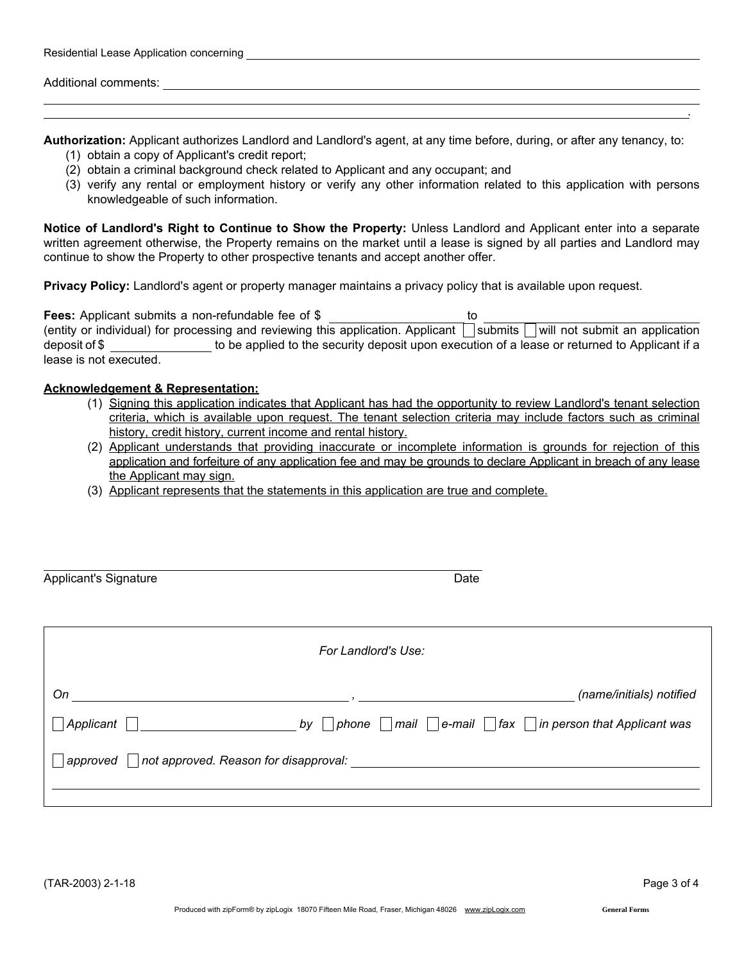| Residential Lease Application concerning |  |  |  |  |
|------------------------------------------|--|--|--|--|
|------------------------------------------|--|--|--|--|

Additional comments:

Authorization: Applicant authorizes Landlord and Landlord's agent, at any time before, during, or after any tenancy, to:

- (1) obtain a copy of Applicant's credit report;
- (2) obtain a criminal background check related to Applicant and any occupant; and
- (3) verify any rental or employment history or verify any other information related to this application with persons knowledgeable of such information.

Notice of Landlord's Right to Continue to Show the Property: Unless Landlord and Applicant enter into a separate written agreement otherwise, the Property remains on the market until a lease is signed by all parties and Landlord may continue to show the Property to other prospective tenants and accept another offer.

Privacy Policy: Landlord's agent or property manager maintains a privacy policy that is available upon request.

Fees: Applicant submits a non-refundable fee of \$ to (entity or individual) for processing and reviewing this application. Applicant  $\Box$  submits  $\Box$  will not submit an application deposit of \$ to be applied to the security deposit upon execution of a lease or returned to Applicant if a lease is not executed.

## Acknowledgement & Representation:

- (1) Signing this application indicates that Applicant has had the opportunity to review Landlord's tenant selection criteria, which is available upon request. The tenant selection criteria may include factors such as criminal history, credit history, current income and rental history.
- (2) Applicant understands that providing inaccurate or incomplete information is grounds for rejection of this application and forfeiture of any application fee and may be grounds to declare Applicant in breach of any lease the Applicant may sign.
- (3) Applicant represents that the statements in this application are true and complete.

| <b>Applicant's Signature</b>                      | Date                |                                                                                         |  |
|---------------------------------------------------|---------------------|-----------------------------------------------------------------------------------------|--|
|                                                   | For Landlord's Use: |                                                                                         |  |
| On                                                |                     | (name/initials) notified                                                                |  |
| Applicant                                         | by                  | $\nabla$ phone $\Box$ mail $\Box$ e-mail $\Box$ fax $\Box$ in person that Applicant was |  |
| not approved. Reason for disapproval:<br>approved |                     |                                                                                         |  |

.